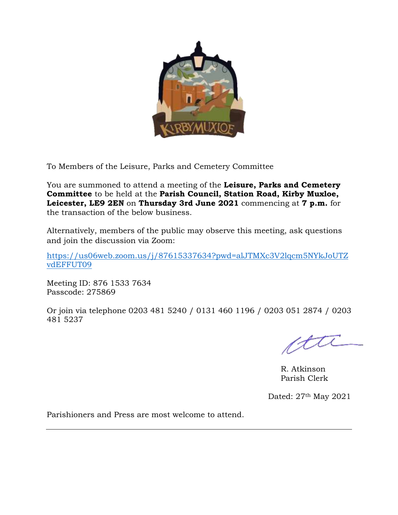

To Members of the Leisure, Parks and Cemetery Committee

You are summoned to attend a meeting of the **Leisure, Parks and Cemetery Committee** to be held at the **Parish Council, Station Road, Kirby Muxloe, Leicester, LE9 2EN** on **Thursday 3rd June 2021** commencing at **7 p.m.** for the transaction of the below business.

Alternatively, members of the public may observe this meeting, ask questions and join the discussion via Zoom:

[https://us06web.zoom.us/j/87615337634?pwd=alJTMXc3V2lqcm5NYkJoUTZ](https://us06web.zoom.us/j/87615337634?pwd=alJTMXc3V2lqcm5NYkJoUTZvdEFFUT09) [vdEFFUT09](https://us06web.zoom.us/j/87615337634?pwd=alJTMXc3V2lqcm5NYkJoUTZvdEFFUT09)

Meeting ID: 876 1533 7634 Passcode: 275869

Or join via telephone 0203 481 5240 / 0131 460 1196 / 0203 051 2874 / 0203 481 5237

atti

R. Atkinson Parish Clerk

Dated: 27th May 2021

Parishioners and Press are most welcome to attend.